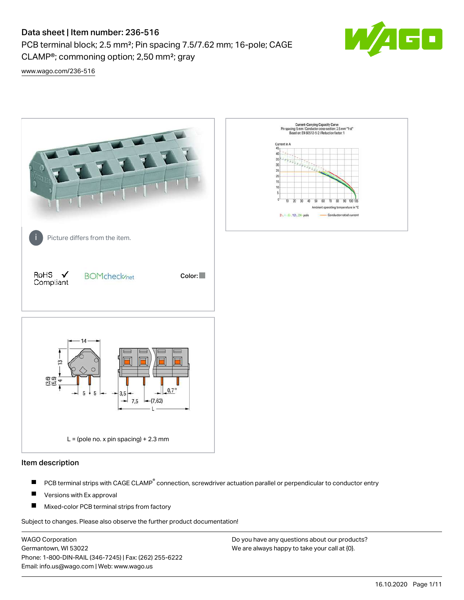# Data sheet | Item number: 236-516

PCB terminal block; 2.5 mm²; Pin spacing 7.5/7.62 mm; 16-pole; CAGE CLAMP®; commoning option; 2,50 mm²; gray



[www.wago.com/236-516](http://www.wago.com/236-516)



### Item description

- PCB terminal strips with CAGE CLAMP<sup>®</sup> connection, screwdriver actuation parallel or perpendicular to conductor entry П
- П Versions with Ex approval
- П Mixed-color PCB terminal strips from factory

Subject to changes. Please also observe the further product documentation!

WAGO Corporation Germantown, WI 53022 Phone: 1-800-DIN-RAIL (346-7245) | Fax: (262) 255-6222 Email: info.us@wago.com | Web: www.wago.us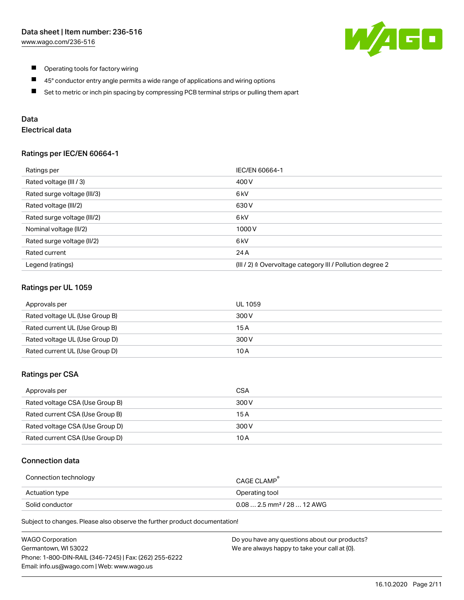

- $\blacksquare$ Operating tools for factory wiring
- $\blacksquare$ 45° conductor entry angle permits a wide range of applications and wiring options
- $\blacksquare$ Set to metric or inch pin spacing by compressing PCB terminal strips or pulling them apart

## Data

# Electrical data

### Ratings per IEC/EN 60664-1

| Ratings per                 | <b>IEC/EN 60664-1</b>                                     |
|-----------------------------|-----------------------------------------------------------|
| Rated voltage (III / 3)     | 400 V                                                     |
| Rated surge voltage (III/3) | 6 <sub>k</sub> V                                          |
| Rated voltage (III/2)       | 630 V                                                     |
| Rated surge voltage (III/2) | 6 <sub>kV</sub>                                           |
| Nominal voltage (II/2)      | 1000V                                                     |
| Rated surge voltage (II/2)  | 6 kV                                                      |
| Rated current               | 24 A                                                      |
| Legend (ratings)            | (III / 2) ≙ Overvoltage category III / Pollution degree 2 |

### Ratings per UL 1059

| Approvals per                  | UL 1059 |
|--------------------------------|---------|
| Rated voltage UL (Use Group B) | 300 V   |
| Rated current UL (Use Group B) | 15 A    |
| Rated voltage UL (Use Group D) | 300 V   |
| Rated current UL (Use Group D) | 10 A    |

### Ratings per CSA

| Approvals per                   | CSA   |
|---------------------------------|-------|
| Rated voltage CSA (Use Group B) | 300 V |
| Rated current CSA (Use Group B) | 15 A  |
| Rated voltage CSA (Use Group D) | 300 V |
| Rated current CSA (Use Group D) | 10 A  |

## Connection data

| Connection technology | CAGE CLAMP                              |
|-----------------------|-----------------------------------------|
| Actuation type        | Operating tool                          |
| Solid conductor       | $0.08$ 2.5 mm <sup>2</sup> / 28  12 AWG |

Subject to changes. Please also observe the further product documentation!

| <b>WAGO Corporation</b>                                | Do you have any questions about our products? |
|--------------------------------------------------------|-----------------------------------------------|
| Germantown, WI 53022                                   | We are always happy to take your call at {0}. |
| Phone: 1-800-DIN-RAIL (346-7245)   Fax: (262) 255-6222 |                                               |
| Email: info.us@wago.com   Web: www.wago.us             |                                               |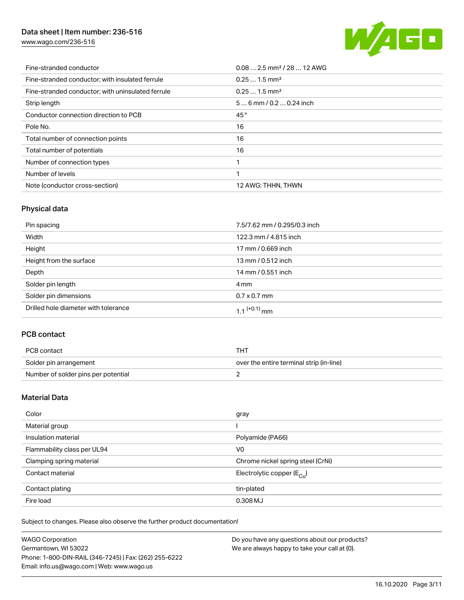# Data sheet | Item number: 236-516

[www.wago.com/236-516](http://www.wago.com/236-516)



| Fine-stranded conductor                           | $0.082.5$ mm <sup>2</sup> / 28  12 AWG |
|---------------------------------------------------|----------------------------------------|
| Fine-stranded conductor; with insulated ferrule   | $0.251.5$ mm <sup>2</sup>              |
| Fine-stranded conductor; with uninsulated ferrule | $0.251.5$ mm <sup>2</sup>              |
| Strip length                                      | $56$ mm / 0.2  0.24 inch               |
| Conductor connection direction to PCB             | 45°                                    |
| Pole No.                                          | 16                                     |
| Total number of connection points                 | 16                                     |
| Total number of potentials                        | 16                                     |
| Number of connection types                        |                                        |
| Number of levels                                  |                                        |
| Note (conductor cross-section)                    | 12 AWG: THHN, THWN                     |

# Physical data

| Pin spacing                          | 7.5/7.62 mm / 0.295/0.3 inch |
|--------------------------------------|------------------------------|
| Width                                | 122.3 mm / 4.815 inch        |
| Height                               | 17 mm / 0.669 inch           |
| Height from the surface              | 13 mm / 0.512 inch           |
| Depth                                | 14 mm / 0.551 inch           |
| Solder pin length                    | 4 mm                         |
| Solder pin dimensions                | $0.7 \times 0.7$ mm          |
| Drilled hole diameter with tolerance | $1.1$ <sup>(+0.1)</sup> mm   |

# PCB contact

| PCB contact                         | THT                                      |
|-------------------------------------|------------------------------------------|
| Solder pin arrangement              | over the entire terminal strip (in-line) |
| Number of solder pins per potential |                                          |

## Material Data

| Color                       | gray                                    |
|-----------------------------|-----------------------------------------|
| Material group              |                                         |
| Insulation material         | Polyamide (PA66)                        |
| Flammability class per UL94 | V <sub>0</sub>                          |
| Clamping spring material    | Chrome nickel spring steel (CrNi)       |
| Contact material            | Electrolytic copper ( $E_{\text{Cu}}$ ) |
| Contact plating             | tin-plated                              |
| Fire load                   | 0.308 MJ                                |

Subject to changes. Please also observe the further product documentation!

| <b>WAGO Corporation</b>                                | Do you have any questions about our products? |
|--------------------------------------------------------|-----------------------------------------------|
| Germantown, WI 53022                                   | We are always happy to take your call at {0}. |
| Phone: 1-800-DIN-RAIL (346-7245)   Fax: (262) 255-6222 |                                               |
| Email: info.us@wago.com   Web: www.wago.us             |                                               |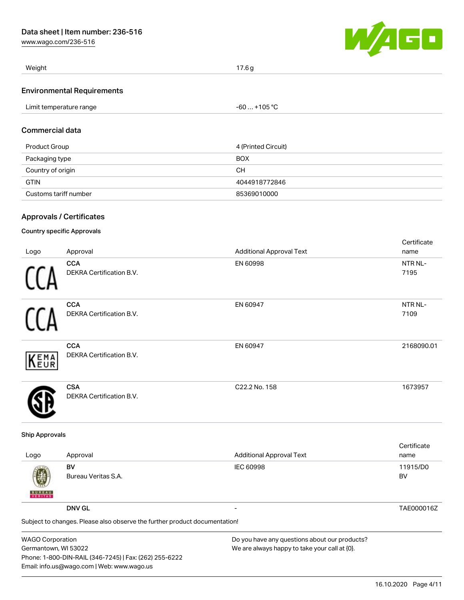[www.wago.com/236-516](http://www.wago.com/236-516)



| Weight                            | 17.6 g       |  |
|-----------------------------------|--------------|--|
| <b>Environmental Requirements</b> |              |  |
| Limit temperature range           | -60  +105 °C |  |

### Commercial data

| Product Group         | 4 (Printed Circuit) |
|-----------------------|---------------------|
| Packaging type        | <b>BOX</b>          |
| Country of origin     | CН                  |
| <b>GTIN</b>           | 4044918772846       |
| Customs tariff number | 85369010000         |

# Approvals / Certificates

### Country specific Approvals

|      |                                 |                                 | Certificate |
|------|---------------------------------|---------------------------------|-------------|
| Logo | Approval                        | <b>Additional Approval Text</b> | name        |
|      | <b>CCA</b>                      | EN 60998                        | NTR NL-     |
|      | <b>DEKRA Certification B.V.</b> |                                 | 7195        |
|      | <b>CCA</b>                      | EN 60947                        | NTR NL-     |
|      | DEKRA Certification B.V.        |                                 | 7109        |
|      | <b>CCA</b>                      | EN 60947                        | 2168090.01  |
| KEMA | <b>DEKRA Certification B.V.</b> |                                 |             |
|      | <b>CSA</b>                      | C22.2 No. 158                   | 1673957     |
|      | <b>DEKRA Certification B.V.</b> |                                 |             |

### Ship Approvals

| Logo               | Approval                                                                                    | <b>Additional Approval Text</b> | Certificate<br>name |
|--------------------|---------------------------------------------------------------------------------------------|---------------------------------|---------------------|
| 嚩<br><b>BUREAU</b> | BV<br>Bureau Veritas S.A.                                                                   | <b>IEC 60998</b>                | 11915/D0<br>BV      |
|                    | <b>DNV GL</b><br>Subject to changes. Please also observe the further product documentation! | $\overline{\phantom{0}}$        | TAE000016Z          |
|                    |                                                                                             |                                 |                     |

| <b>WAGO Corporation</b>                                | Do you have any questions about our products? |
|--------------------------------------------------------|-----------------------------------------------|
| Germantown, WI 53022                                   | We are always happy to take your call at {0}. |
| Phone: 1-800-DIN-RAIL (346-7245)   Fax: (262) 255-6222 |                                               |
| Email: info.us@wago.com   Web: www.wago.us             |                                               |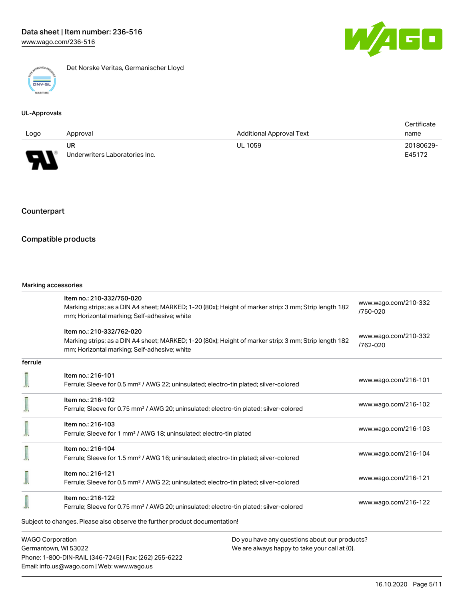

Det Norske Veritas, Germanischer Lloyd

### UL-Approvals

|      |                                |                                 | Certificate |
|------|--------------------------------|---------------------------------|-------------|
| Logo | Approval                       | <b>Additional Approval Text</b> | name        |
|      | UR                             | <b>UL 1059</b>                  | 20180629-   |
| J    | Underwriters Laboratories Inc. |                                 | E45172      |

# Counterpart

### Compatible products

#### Marking accessories

Phone: 1-800-DIN-RAIL (346-7245) | Fax: (262) 255-6222

Email: info.us@wago.com | Web: www.wago.us

|                         | Item no.: 210-332/750-020<br>Marking strips; as a DIN A4 sheet; MARKED; 1-20 (80x); Height of marker strip: 3 mm; Strip length 182                    |                                               | www.wago.com/210-332 |  |
|-------------------------|-------------------------------------------------------------------------------------------------------------------------------------------------------|-----------------------------------------------|----------------------|--|
|                         | mm; Horizontal marking; Self-adhesive; white                                                                                                          |                                               | /750-020             |  |
|                         | Item no.: 210-332/762-020                                                                                                                             |                                               | www.wago.com/210-332 |  |
|                         | Marking strips; as a DIN A4 sheet; MARKED; 1-20 (80x); Height of marker strip: 3 mm; Strip length 182<br>mm; Horizontal marking; Self-adhesive; white |                                               | /762-020             |  |
| ferrule                 |                                                                                                                                                       |                                               |                      |  |
|                         | Item no.: 216-101                                                                                                                                     |                                               | www.wago.com/216-101 |  |
|                         | Ferrule; Sleeve for 0.5 mm <sup>2</sup> / AWG 22; uninsulated; electro-tin plated; silver-colored                                                     |                                               |                      |  |
|                         | Item no.: 216-102                                                                                                                                     |                                               | www.wago.com/216-102 |  |
|                         | Ferrule; Sleeve for 0.75 mm <sup>2</sup> / AWG 20; uninsulated; electro-tin plated; silver-colored                                                    |                                               |                      |  |
|                         | Item no.: 216-103                                                                                                                                     |                                               | www.wago.com/216-103 |  |
|                         | Ferrule; Sleeve for 1 mm <sup>2</sup> / AWG 18; uninsulated; electro-tin plated                                                                       |                                               |                      |  |
|                         | Item no.: 216-104                                                                                                                                     |                                               | www.wago.com/216-104 |  |
|                         | Ferrule; Sleeve for 1.5 mm <sup>2</sup> / AWG 16; uninsulated; electro-tin plated; silver-colored                                                     |                                               |                      |  |
|                         | Item no.: 216-121                                                                                                                                     |                                               |                      |  |
|                         | Ferrule; Sleeve for 0.5 mm <sup>2</sup> / AWG 22; uninsulated; electro-tin plated; silver-colored                                                     |                                               | www.wago.com/216-121 |  |
|                         | Item no.: 216-122                                                                                                                                     |                                               |                      |  |
|                         | Ferrule; Sleeve for 0.75 mm <sup>2</sup> / AWG 20; uninsulated; electro-tin plated; silver-colored                                                    |                                               | www.wago.com/216-122 |  |
|                         | Subject to changes. Please also observe the further product documentation!                                                                            |                                               |                      |  |
| <b>WAGO Corporation</b> |                                                                                                                                                       | Do you have any questions about our products? |                      |  |
| Germantown, WI 53022    |                                                                                                                                                       | We are always happy to take your call at {0}. |                      |  |

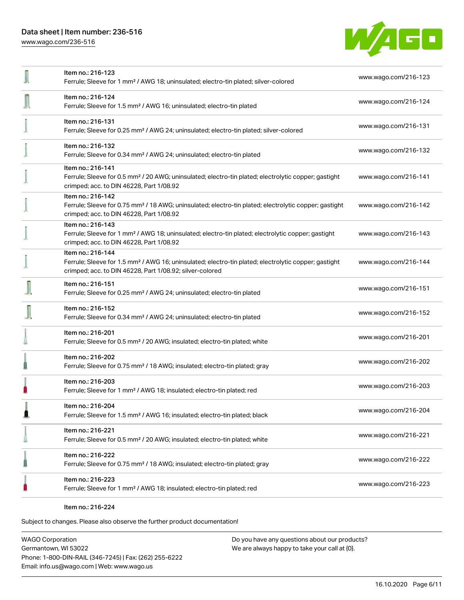[www.wago.com/236-516](http://www.wago.com/236-516)



| Item no.: 216-123<br>Ferrule; Sleeve for 1 mm <sup>2</sup> / AWG 18; uninsulated; electro-tin plated; silver-colored                                                                              | www.wago.com/216-123 |
|---------------------------------------------------------------------------------------------------------------------------------------------------------------------------------------------------|----------------------|
| Item no.: 216-124<br>Ferrule; Sleeve for 1.5 mm <sup>2</sup> / AWG 16; uninsulated; electro-tin plated                                                                                            | www.wago.com/216-124 |
| Item no.: 216-131<br>Ferrule; Sleeve for 0.25 mm <sup>2</sup> / AWG 24; uninsulated; electro-tin plated; silver-colored                                                                           | www.wago.com/216-131 |
| Item no.: 216-132<br>Ferrule; Sleeve for 0.34 mm <sup>2</sup> / AWG 24; uninsulated; electro-tin plated                                                                                           | www.wago.com/216-132 |
| Item no.: 216-141<br>Ferrule; Sleeve for 0.5 mm <sup>2</sup> / 20 AWG; uninsulated; electro-tin plated; electrolytic copper; gastight<br>crimped; acc. to DIN 46228, Part 1/08.92                 | www.wago.com/216-141 |
| Item no.: 216-142<br>Ferrule; Sleeve for 0.75 mm <sup>2</sup> / 18 AWG; uninsulated; electro-tin plated; electrolytic copper; gastight<br>crimped; acc. to DIN 46228, Part 1/08.92                | www.wago.com/216-142 |
| Item no.: 216-143<br>Ferrule; Sleeve for 1 mm <sup>2</sup> / AWG 18; uninsulated; electro-tin plated; electrolytic copper; gastight<br>crimped; acc. to DIN 46228, Part 1/08.92                   | www.wago.com/216-143 |
| Item no.: 216-144<br>Ferrule; Sleeve for 1.5 mm <sup>2</sup> / AWG 16; uninsulated; electro-tin plated; electrolytic copper; gastight<br>crimped; acc. to DIN 46228, Part 1/08.92; silver-colored | www.wago.com/216-144 |
| Item no.: 216-151<br>Ferrule; Sleeve for 0.25 mm <sup>2</sup> / AWG 24; uninsulated; electro-tin plated                                                                                           | www.wago.com/216-151 |
| Item no.: 216-152<br>Ferrule; Sleeve for 0.34 mm <sup>2</sup> / AWG 24; uninsulated; electro-tin plated                                                                                           | www.wago.com/216-152 |
| Item no.: 216-201<br>Ferrule; Sleeve for 0.5 mm <sup>2</sup> / 20 AWG; insulated; electro-tin plated; white                                                                                       | www.wago.com/216-201 |
| Item no.: 216-202<br>Ferrule; Sleeve for 0.75 mm <sup>2</sup> / 18 AWG; insulated; electro-tin plated; gray                                                                                       | www.wago.com/216-202 |
| Item no.: 216-203<br>Ferrule; Sleeve for 1 mm <sup>2</sup> / AWG 18; insulated; electro-tin plated; red                                                                                           | www.wago.com/216-203 |
| Item no.: 216-204<br>Ferrule; Sleeve for 1.5 mm <sup>2</sup> / AWG 16; insulated; electro-tin plated; black                                                                                       | www.wago.com/216-204 |
| Item no.: 216-221<br>Ferrule; Sleeve for 0.5 mm <sup>2</sup> / 20 AWG; insulated; electro-tin plated; white                                                                                       | www.wago.com/216-221 |
| Item no.: 216-222<br>Ferrule; Sleeve for 0.75 mm <sup>2</sup> / 18 AWG; insulated; electro-tin plated; gray                                                                                       | www.wago.com/216-222 |
| Item no.: 216-223<br>Ferrule; Sleeve for 1 mm <sup>2</sup> / AWG 18; insulated; electro-tin plated; red                                                                                           | www.wago.com/216-223 |
|                                                                                                                                                                                                   |                      |

Item no.: 216-224

Subject to changes. Please also observe the further product documentation!

WAGO Corporation Germantown, WI 53022 Phone: 1-800-DIN-RAIL (346-7245) | Fax: (262) 255-6222 Email: info.us@wago.com | Web: www.wago.us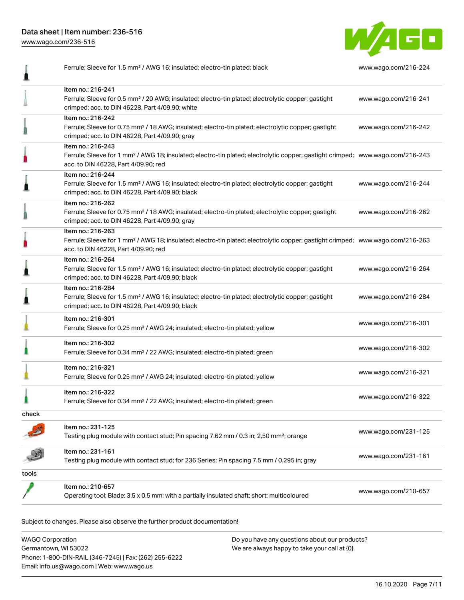Data sheet | Item number: 236-516

[www.wago.com/236-516](http://www.wago.com/236-516)

I



Ferrule; Sleeve for 1.5 mm² / AWG 16; insulated; electro-tin plated; black [www.wago.com/216-224](http://www.wago.com/216-224)

|       | Item no.: 216-241                                                                                                                                                 |                      |
|-------|-------------------------------------------------------------------------------------------------------------------------------------------------------------------|----------------------|
|       | Ferrule; Sleeve for 0.5 mm <sup>2</sup> / 20 AWG; insulated; electro-tin plated; electrolytic copper; gastight                                                    | www.wago.com/216-241 |
|       | crimped; acc. to DIN 46228, Part 4/09.90; white<br>Item no.: 216-242                                                                                              |                      |
|       | Ferrule; Sleeve for 0.75 mm <sup>2</sup> / 18 AWG; insulated; electro-tin plated; electrolytic copper; gastight                                                   | www.wago.com/216-242 |
|       | crimped; acc. to DIN 46228, Part 4/09.90; gray                                                                                                                    |                      |
|       | Item no.: 216-243                                                                                                                                                 |                      |
|       | Ferrule; Sleeve for 1 mm <sup>2</sup> / AWG 18; insulated; electro-tin plated; electrolytic copper; gastight crimped; www.wago.com/216-243                        |                      |
|       | acc. to DIN 46228, Part 4/09.90; red                                                                                                                              |                      |
|       | Item no.: 216-244                                                                                                                                                 |                      |
|       | Ferrule; Sleeve for 1.5 mm <sup>2</sup> / AWG 16; insulated; electro-tin plated; electrolytic copper; gastight<br>crimped; acc. to DIN 46228, Part 4/09.90; black | www.wago.com/216-244 |
|       | Item no.: 216-262                                                                                                                                                 |                      |
|       | Ferrule; Sleeve for 0.75 mm <sup>2</sup> / 18 AWG; insulated; electro-tin plated; electrolytic copper; gastight                                                   | www.wago.com/216-262 |
|       | crimped; acc. to DIN 46228, Part 4/09.90; gray                                                                                                                    |                      |
|       | Item no.: 216-263                                                                                                                                                 |                      |
|       | Ferrule; Sleeve for 1 mm <sup>2</sup> / AWG 18; insulated; electro-tin plated; electrolytic copper; gastight crimped; www.wago.com/216-263                        |                      |
|       | acc. to DIN 46228, Part 4/09.90; red                                                                                                                              |                      |
|       | Item no.: 216-264                                                                                                                                                 |                      |
|       | Ferrule; Sleeve for 1.5 mm <sup>2</sup> / AWG 16; insulated; electro-tin plated; electrolytic copper; gastight<br>crimped; acc. to DIN 46228, Part 4/09.90; black | www.wago.com/216-264 |
|       | Item no.: 216-284                                                                                                                                                 |                      |
|       | Ferrule; Sleeve for 1.5 mm <sup>2</sup> / AWG 16; insulated; electro-tin plated; electrolytic copper; gastight                                                    | www.wago.com/216-284 |
|       | crimped; acc. to DIN 46228, Part 4/09.90; black                                                                                                                   |                      |
|       | Item no.: 216-301                                                                                                                                                 |                      |
|       | Ferrule; Sleeve for 0.25 mm <sup>2</sup> / AWG 24; insulated; electro-tin plated; yellow                                                                          | www.wago.com/216-301 |
|       |                                                                                                                                                                   |                      |
|       | Item no.: 216-302<br>Ferrule; Sleeve for 0.34 mm <sup>2</sup> / 22 AWG; insulated; electro-tin plated; green                                                      | www.wago.com/216-302 |
|       |                                                                                                                                                                   |                      |
|       | Item no.: 216-321                                                                                                                                                 | www.wago.com/216-321 |
|       | Ferrule; Sleeve for 0.25 mm <sup>2</sup> / AWG 24; insulated; electro-tin plated; yellow                                                                          |                      |
|       | Item no.: 216-322                                                                                                                                                 |                      |
|       | Ferrule; Sleeve for 0.34 mm <sup>2</sup> / 22 AWG; insulated; electro-tin plated; green                                                                           | www.wago.com/216-322 |
| check |                                                                                                                                                                   |                      |
|       | Item no.: 231-125                                                                                                                                                 |                      |
|       | Testing plug module with contact stud; Pin spacing 7.62 mm / 0.3 in; 2,50 mm <sup>2</sup> ; orange                                                                | www.wago.com/231-125 |
|       | Item no.: 231-161                                                                                                                                                 |                      |
|       | Testing plug module with contact stud; for 236 Series; Pin spacing 7.5 mm / 0.295 in; gray                                                                        | www.wago.com/231-161 |
| tools |                                                                                                                                                                   |                      |
|       | Item no.: 210-657                                                                                                                                                 |                      |
|       | Operating tool; Blade: 3.5 x 0.5 mm; with a partially insulated shaft; short; multicoloured                                                                       | www.wago.com/210-657 |
|       |                                                                                                                                                                   |                      |

Subject to changes. Please also observe the further product documentation!

WAGO Corporation Germantown, WI 53022 Phone: 1-800-DIN-RAIL (346-7245) | Fax: (262) 255-6222 Email: info.us@wago.com | Web: www.wago.us Do you have any questions about our products? We are always happy to take your call at {0}.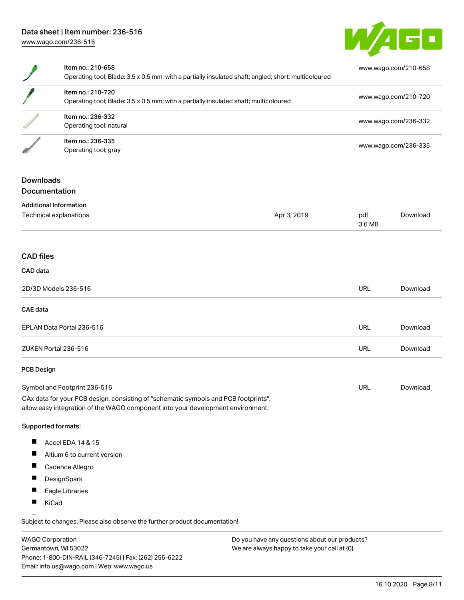

| Item no.: 210-658<br>Operating tool; Blade: 3.5 x 0.5 mm; with a partially insulated shaft; angled; short; multicoloured | www.wago.com/210-658 |
|--------------------------------------------------------------------------------------------------------------------------|----------------------|
| Item no.: 210-720<br>Operating tool; Blade: 3.5 x 0.5 mm; with a partially insulated shaft; multicoloured                | www.wago.com/210-720 |
| Item no.: 236-332<br>Operating tool; natural                                                                             | www.wago.com/236-332 |
| Item no.: 236-335<br>Operating tool; gray                                                                                | www.wago.com/236-335 |

# **Downloads** Documentation

| <b>Additional Information</b>                                                                                                                                                                                                                                                                                                                                                         |             |               |          |
|---------------------------------------------------------------------------------------------------------------------------------------------------------------------------------------------------------------------------------------------------------------------------------------------------------------------------------------------------------------------------------------|-------------|---------------|----------|
| Technical explanations                                                                                                                                                                                                                                                                                                                                                                | Apr 3, 2019 | pdf<br>3.6 MB | Download |
|                                                                                                                                                                                                                                                                                                                                                                                       |             |               |          |
| <b>CAD files</b>                                                                                                                                                                                                                                                                                                                                                                      |             |               |          |
| CAD data                                                                                                                                                                                                                                                                                                                                                                              |             |               |          |
| 2D/3D Models 236-516                                                                                                                                                                                                                                                                                                                                                                  |             | <b>URL</b>    | Download |
| CAE data                                                                                                                                                                                                                                                                                                                                                                              |             |               |          |
| EPLAN Data Portal 236-516                                                                                                                                                                                                                                                                                                                                                             |             | <b>URL</b>    | Download |
| ZUKEN Portal 236-516                                                                                                                                                                                                                                                                                                                                                                  |             | <b>URL</b>    | Download |
| <b>PCB Design</b>                                                                                                                                                                                                                                                                                                                                                                     |             |               |          |
| Symbol and Footprint 236-516                                                                                                                                                                                                                                                                                                                                                          |             | <b>URL</b>    | Download |
| $\alpha$ , $\beta$ , $\alpha$ , $\alpha$ , $\beta$ , $\alpha$ , $\beta$ , $\beta$ , $\beta$ , $\beta$ , $\beta$ , $\beta$ , $\beta$ , $\beta$ , $\beta$ , $\beta$ , $\beta$ , $\beta$ , $\beta$ , $\beta$ , $\beta$ , $\beta$ , $\beta$ , $\beta$ , $\beta$ , $\beta$ , $\beta$ , $\beta$ , $\beta$ , $\beta$ , $\beta$ , $\beta$ , $\beta$ , $\beta$ , $\beta$ , $\beta$ , $\beta$ , |             |               |          |

CAx data for your PCB design, consisting of "schematic symbols and PCB footprints", allow easy integration of the WAGO component into your development environment.

### Supported formats:

- $\blacksquare$ Accel EDA 14 & 15
- $\blacksquare$ Altium 6 to current version
- $\blacksquare$ Cadence Allegro
- $\blacksquare$ **DesignSpark**
- $\blacksquare$ Eagle Libraries
- $\blacksquare$ KiCad

Subject to changes. Please also observe the further product documentation!

WAGO Corporation Germantown, WI 53022 Phone: 1-800-DIN-RAIL (346-7245) | Fax: (262) 255-6222 Email: info.us@wago.com | Web: www.wago.us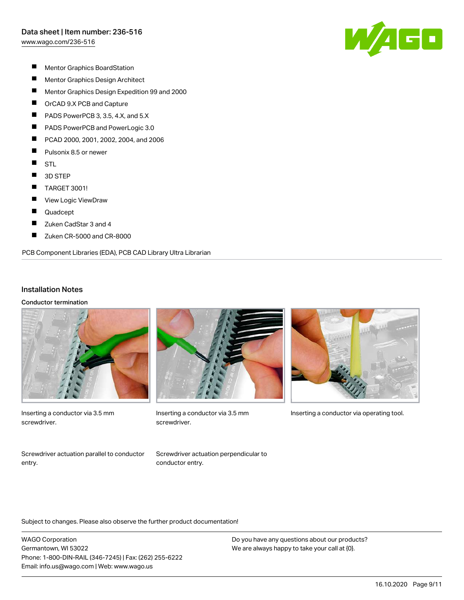[www.wago.com/236-516](http://www.wago.com/236-516)



- $\blacksquare$ Mentor Graphics BoardStation
- $\blacksquare$ Mentor Graphics Design Architect
- $\blacksquare$ Mentor Graphics Design Expedition 99 and 2000
- $\blacksquare$ OrCAD 9.X PCB and Capture
- П PADS PowerPCB 3, 3.5, 4.X, and 5.X
- П PADS PowerPCB and PowerLogic 3.0
- П PCAD 2000, 2001, 2002, 2004, and 2006
- $\blacksquare$ Pulsonix 8.5 or newer
- $\blacksquare$ **STL**
- $\blacksquare$ 3D STEP
- $\blacksquare$ TARGET 3001!
- П View Logic ViewDraw
- $\blacksquare$ Quadcept
- $\blacksquare$ Zuken CadStar 3 and 4
- П Zuken CR-5000 and CR-8000

PCB Component Libraries (EDA), PCB CAD Library Ultra Librarian

### Installation Notes

Conductor termination



Inserting a conductor via 3.5 mm screwdriver.



screwdriver.



Inserting a conductor via 3.5 mm Inserting a conductor via operating tool.

Screwdriver actuation parallel to conductor entry.

Screwdriver actuation perpendicular to conductor entry.

Subject to changes. Please also observe the further product documentation!

WAGO Corporation Germantown, WI 53022 Phone: 1-800-DIN-RAIL (346-7245) | Fax: (262) 255-6222 Email: info.us@wago.com | Web: www.wago.us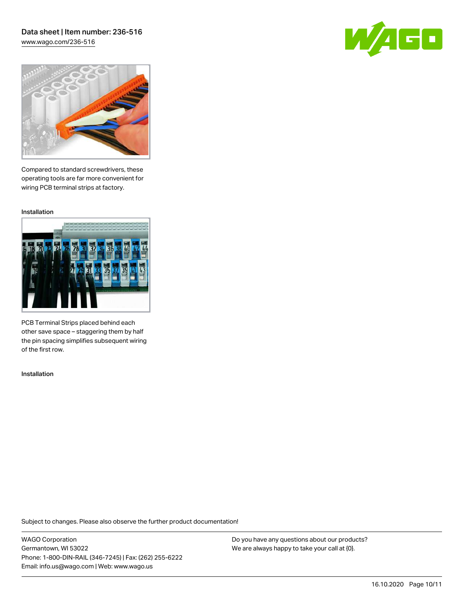## Data sheet | Item number: 236-516 [www.wago.com/236-516](http://www.wago.com/236-516)





Compared to standard screwdrivers, these operating tools are far more convenient for wiring PCB terminal strips at factory.

Installation



PCB Terminal Strips placed behind each other save space – staggering them by half the pin spacing simplifies subsequent wiring of the first row.

Installation

Subject to changes. Please also observe the further product documentation!

WAGO Corporation Germantown, WI 53022 Phone: 1-800-DIN-RAIL (346-7245) | Fax: (262) 255-6222 Email: info.us@wago.com | Web: www.wago.us